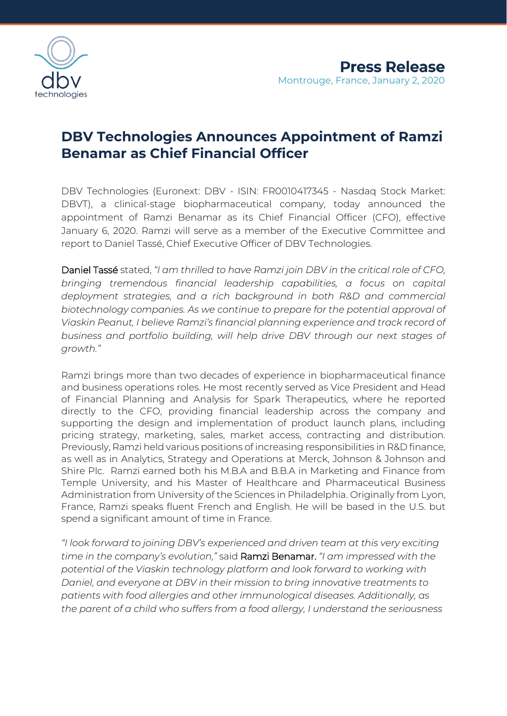

# **DBV Technologies Announces Appointment of Ramzi Benamar as Chief Financial Officer**

DBV Technologies (Euronext: DBV - ISIN: FR0010417345 - Nasdaq Stock Market: DBVT), a clinical-stage biopharmaceutical company, today announced the appointment of Ramzi Benamar as its Chief Financial Officer (CFO), effective January 6, 2020. Ramzi will serve as a member of the Executive Committee and report to Daniel Tassé, Chief Executive Officer of DBV Technologies.

Daniel Tassé stated, *"I am thrilled to have Ramzi join DBV in the critical role of CFO, bringing tremendous financial leadership capabilities, a focus on capital deployment strategies, and a rich background in both R&D and commercial biotechnology companies. As we continue to prepare for the potential approval of Viaskin Peanut, I believe Ramzi's financial planning experience and track record of business and portfolio building, will help drive DBV through our next stages of growth."*

Ramzi brings more than two decades of experience in biopharmaceutical finance and business operations roles. He most recently served as Vice President and Head of Financial Planning and Analysis for Spark Therapeutics, where he reported directly to the CFO, providing financial leadership across the company and supporting the design and implementation of product launch plans, including pricing strategy, marketing, sales, market access, contracting and distribution. Previously, Ramzi held various positions of increasing responsibilities in R&D finance, as well as in Analytics, Strategy and Operations at Merck, Johnson & Johnson and Shire Plc. Ramzi earned both his M.B.A and B.B.A in Marketing and Finance from Temple University, and his Master of Healthcare and Pharmaceutical Business Administration from University of the Sciences in Philadelphia. Originally from Lyon, France, Ramzi speaks fluent French and English. He will be based in the U.S. but spend a significant amount of time in France.

*"I look forward to joining DBV's experienced and driven team at this very exciting time in the company's evolution,"* said Ramzi Benamar. *"I am impressed with the potential of the Viaskin technology platform and look forward to working with Daniel, and everyone at DBV in their mission to bring innovative treatments to patients with food allergies and other immunological diseases. Additionally, as the parent of a child who suffers from a food allergy, I understand the seriousness*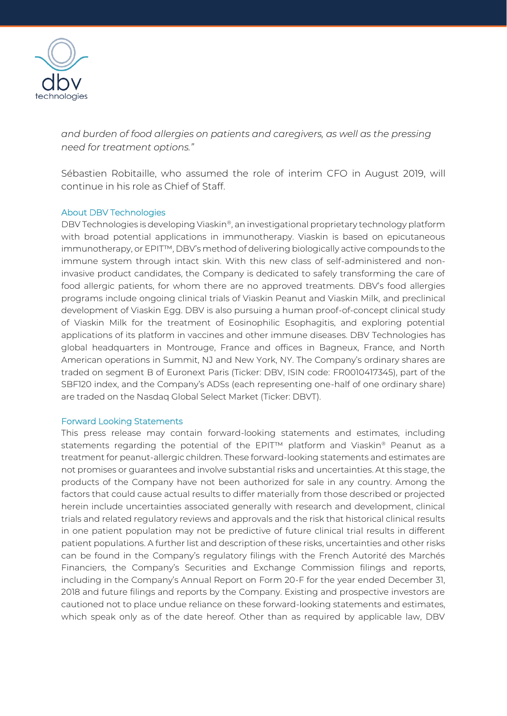

*and burden of food allergies on patients and caregivers, as well as the pressing need for treatment options."*

Sébastien Robitaille, who assumed the role of interim CFO in August 2019, will continue in his role as Chief of Staff.

### About DBV Technologies

DBV Technologies is developing Viaskin®, an investigational proprietary technology platform with broad potential applications in immunotherapy. Viaskin is based on epicutaneous immunotherapy, or EPIT™, DBV's method of delivering biologically active compounds to the immune system through intact skin. With this new class of self-administered and noninvasive product candidates, the Company is dedicated to safely transforming the care of food allergic patients, for whom there are no approved treatments. DBV's food allergies programs include ongoing clinical trials of Viaskin Peanut and Viaskin Milk, and preclinical development of Viaskin Egg. DBV is also pursuing a human proof-of-concept clinical study of Viaskin Milk for the treatment of Eosinophilic Esophagitis, and exploring potential applications of its platform in vaccines and other immune diseases. DBV Technologies has global headquarters in Montrouge, France and offices in Bagneux, France, and North American operations in Summit, NJ and New York, NY. The Company's ordinary shares are traded on segment B of Euronext Paris (Ticker: DBV, ISIN code: FR0010417345), part of the SBF120 index, and the Company's ADSs (each representing one-half of one ordinary share) are traded on the Nasdaq Global Select Market (Ticker: DBVT).

#### Forward Looking Statements

This press release may contain forward-looking statements and estimates, including statements regarding the potential of the EPIT™ platform and Viaskin® Peanut as a treatment for peanut-allergic children. These forward-looking statements and estimates are not promises or guarantees and involve substantial risks and uncertainties. At this stage, the products of the Company have not been authorized for sale in any country. Among the factors that could cause actual results to differ materially from those described or projected herein include uncertainties associated generally with research and development, clinical trials and related regulatory reviews and approvals and the risk that historical clinical results in one patient population may not be predictive of future clinical trial results in different patient populations. A further list and description of these risks, uncertainties and other risks can be found in the Company's regulatory filings with the French Autorité des Marchés Financiers, the Company's Securities and Exchange Commission filings and reports, including in the Company's Annual Report on Form 20-F for the year ended December 31, 2018 and future filings and reports by the Company. Existing and prospective investors are cautioned not to place undue reliance on these forward-looking statements and estimates, which speak only as of the date hereof. Other than as required by applicable law, DBV